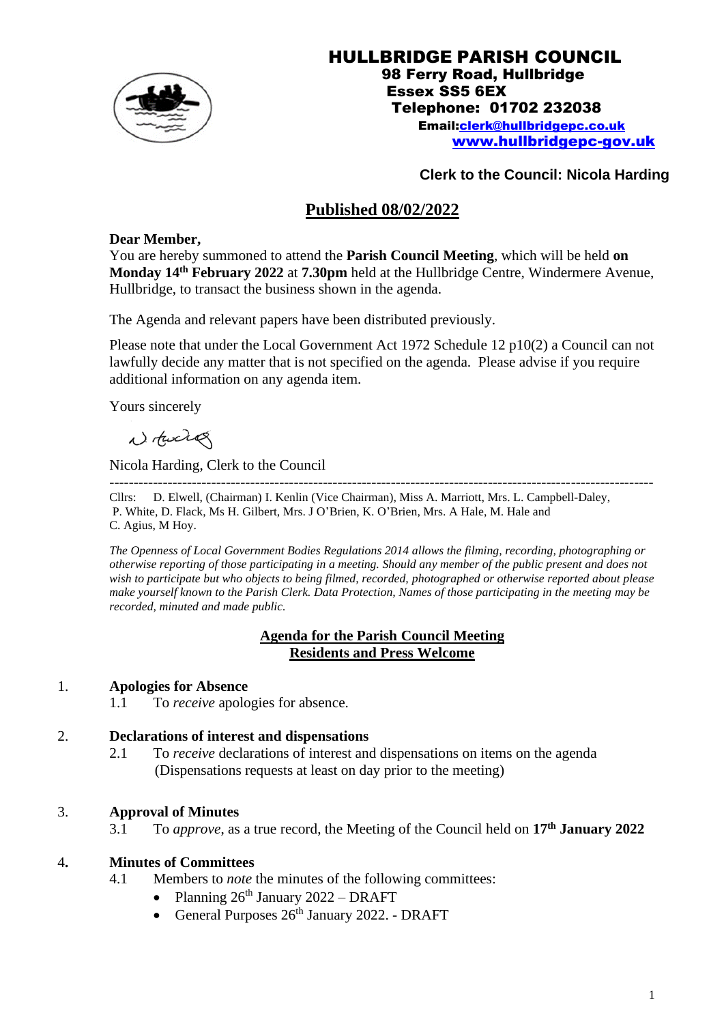

#### HULLBRIDGE PARISH COUNCIL 98 Ferry Road, Hullbridge Essex SS5 6EX Telephone: 01702 232038 Email[:clerk@hullbridgepc.co.uk](mailto:clerk@hullbridgepc.co.uk)  [www.hullbridgepc-gov.uk](http://www.hullbridgepc-gov.uk/)

# **Clerk to the Council: Nicola Harding**

# **Published 08/02/2022**

# **Dear Member,**

You are hereby summoned to attend the **Parish Council Meeting**, which will be held **on Monday 14 th February 2022** at **7.30pm** held at the Hullbridge Centre, Windermere Avenue, Hullbridge, to transact the business shown in the agenda.

The Agenda and relevant papers have been distributed previously.

Please note that under the Local Government Act 1972 Schedule 12 p10(2) a Council can not lawfully decide any matter that is not specified on the agenda. Please advise if you require additional information on any agenda item.

Yours sincerely

Notward

Nicola Harding, Clerk to the Council

---------------------------------------------------------------------------------------------------------------- Cllrs: D. Elwell, (Chairman) I. Kenlin (Vice Chairman), Miss A. Marriott, Mrs. L. Campbell-Daley, P. White, D. Flack, Ms H. Gilbert, Mrs. J O'Brien, K. O'Brien, Mrs. A Hale, M. Hale and C. Agius, M Hoy.

*The Openness of Local Government Bodies Regulations 2014 allows the filming, recording, photographing or otherwise reporting of those participating in a meeting. Should any member of the public present and does not wish to participate but who objects to being filmed, recorded, photographed or otherwise reported about please make yourself known to the Parish Clerk. Data Protection, Names of those participating in the meeting may be recorded, minuted and made public.*

#### **Agenda for the Parish Council Meeting Residents and Press Welcome**

# 1. **Apologies for Absence**

1.1 To *receive* apologies for absence.

# 2. **Declarations of interest and dispensations**

2.1 To *receive* declarations of interest and dispensations on items on the agenda (Dispensations requests at least on day prior to the meeting)

# 3. **Approval of Minutes**

3.1 To *approve*, as a true record, the Meeting of the Council held on **17 th January 2022**

# 4**. Minutes of Committees**

- 4.1 Members to *note* the minutes of the following committees:
	- Planning  $26^{th}$  January  $2022 DRAFT$
	- General Purposes 26<sup>th</sup> January 2022. DRAFT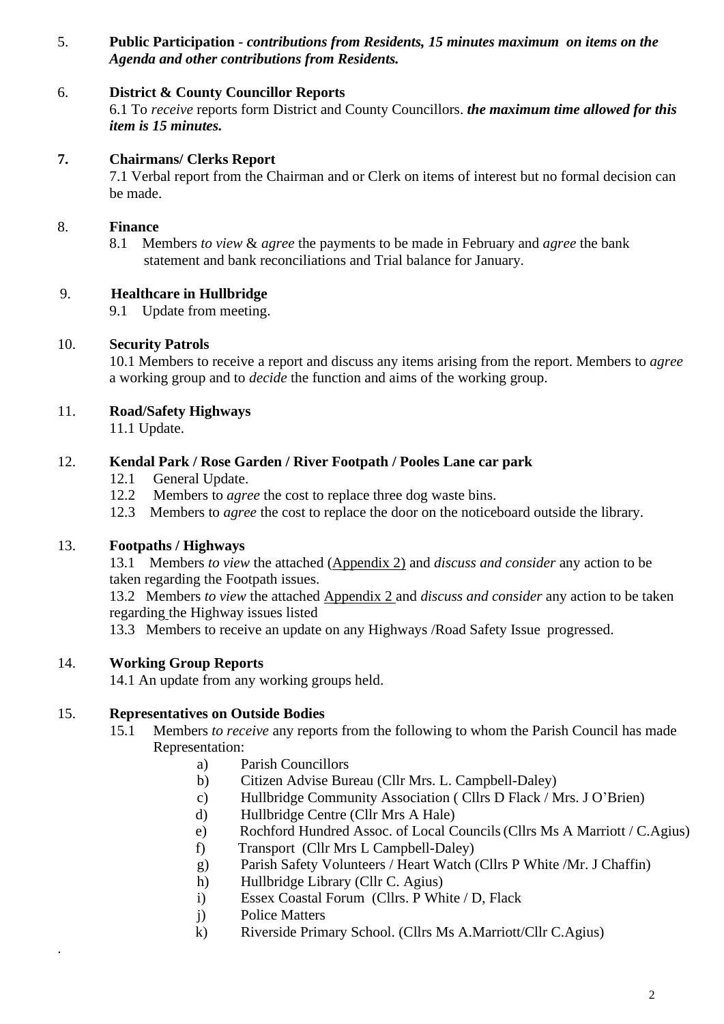5. **Public Participation** - *contributions from Residents, 15 minutes maximum on items on the Agenda and other contributions from Residents.*

# 6. **District & County Councillor Reports**

6.1 To *receive* reports form District and County Councillors. *the maximum time allowed for this item is 15 minutes.*

# **7. Chairmans/ Clerks Report**

7.1 Verbal report from the Chairman and or Clerk on items of interest but no formal decision can be made.

# 8. **Finance**

8.1 Members *to view* & *agree* the payments to be made in February and *agree* the bank statement and bank reconciliations and Trial balance for January.

# 9. **Healthcare in Hullbridge**

9.1 Update from meeting.

# 10. **Security Patrols**

10.1 Members to receive a report and discuss any items arising from the report. Members to *agree*  a working group and to *decide* the function and aims of the working group.

# 11. **Road/Safety Highways**

11.1 Update.

# 12. **Kendal Park / Rose Garden / River Footpath / Pooles Lane car park**

- 12.1 General Update.
- 12.2 Members to *agree* the cost to replace three dog waste bins.
- 12.3 Members to *agree* the cost to replace the door on the noticeboard outside the library.

# 13. **Footpaths / Highways**

13.1 Members *to view* the attached (Appendix 2) and *discuss and consider* any action to be taken regarding the Footpath issues.

13.2 Members *to view* the attached Appendix 2 and *discuss and consider* any action to be taken regarding the Highway issues listed

13.3 Members to receive an update on any Highways /Road Safety Issue progressed.

# 14. **Working Group Reports**

.

14.1 An update from any working groups held.

# 15. **Representatives on Outside Bodies**

- 15.1 Members *to receive* any reports from the following to whom the Parish Council has made Representation:
	- a) Parish Councillors
	- b) Citizen Advise Bureau (Cllr Mrs. L. Campbell-Daley)
	- c) Hullbridge Community Association ( Cllrs D Flack / Mrs. J O'Brien)
	- d) Hullbridge Centre (Cllr Mrs A Hale)
	- e) Rochford Hundred Assoc. of Local Councils(Cllrs Ms A Marriott / C.Agius)
	- f) Transport (Cllr Mrs L Campbell-Daley)
	- g) Parish Safety Volunteers / Heart Watch (Cllrs P White /Mr. J Chaffin)
	- h) Hullbridge Library (Cllr C. Agius)
	- i) Essex Coastal Forum (Cllrs. P White / D, Flack
	- j) Police Matters
	- k) Riverside Primary School. (Cllrs Ms A.Marriott/Cllr C.Agius)